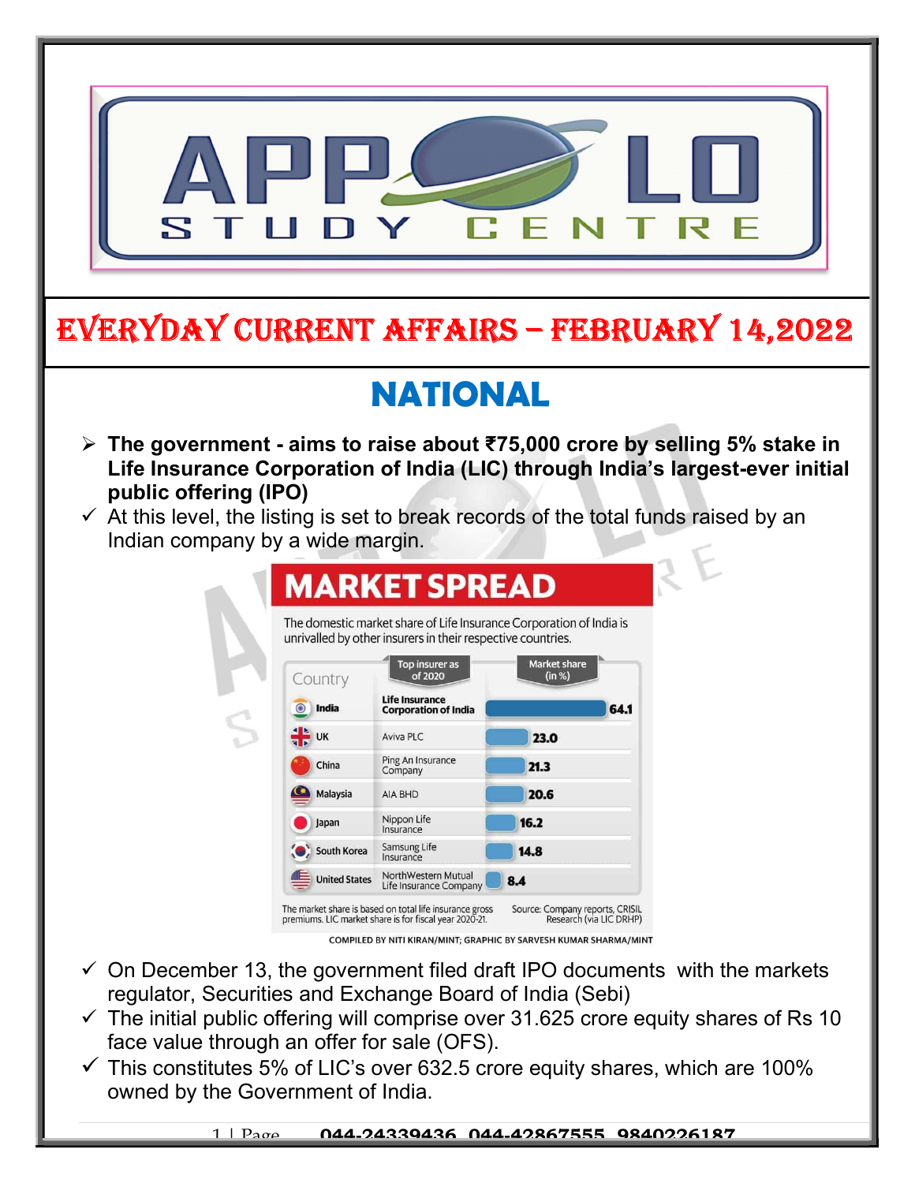

- $\checkmark$  On December 13, the government filed draft IPO documents with the markets regulator, Securities and Exchange Board of India (Sebi)
- $\checkmark$  The initial public offering will comprise over 31.625 crore equity shares of Rs 10 face value through an offer for sale (OFS).
- $\checkmark$  This constitutes 5% of LIC's over 632.5 crore equity shares, which are 100% owned by the Government of India.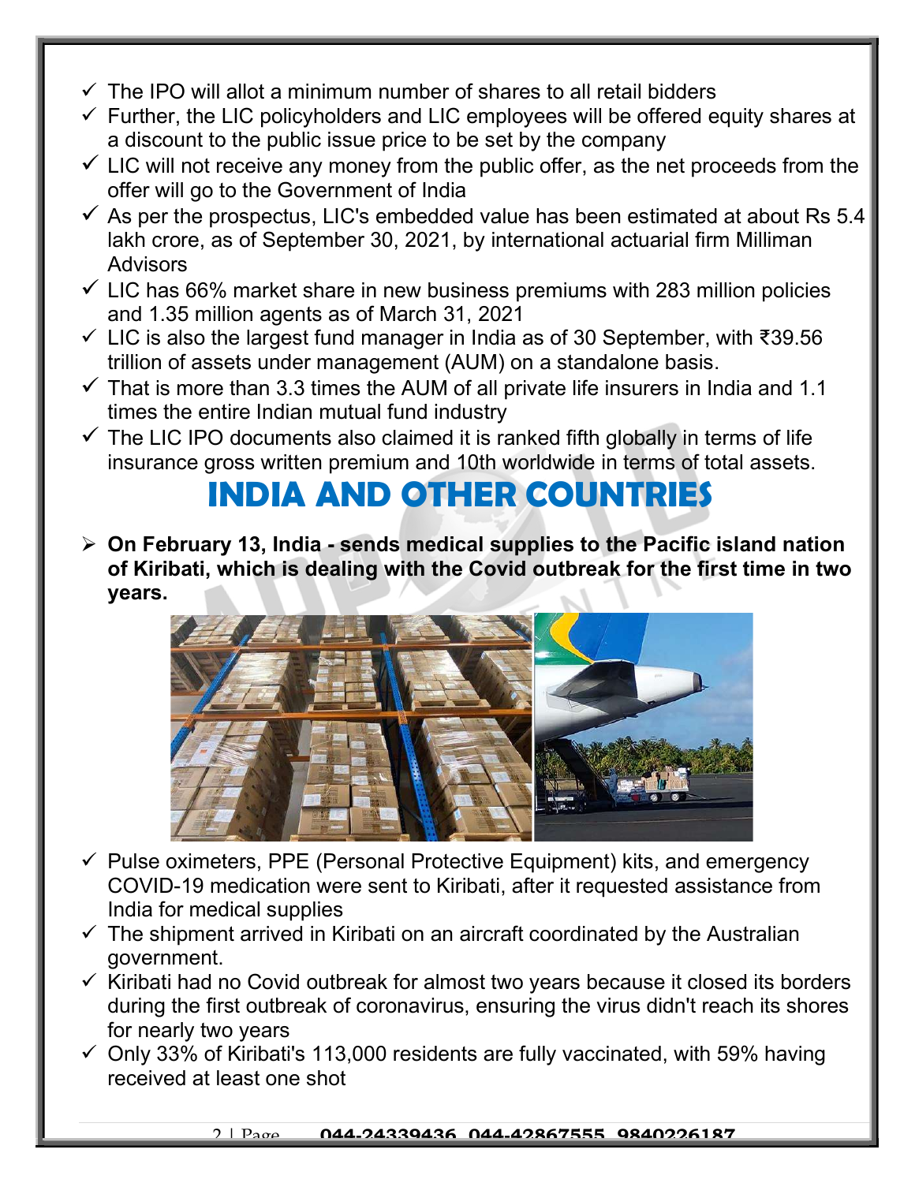- $\checkmark$  The IPO will allot a minimum number of shares to all retail bidders
- $\checkmark$  Further, the LIC policyholders and LIC employees will be offered equity shares at a discount to the public issue price to be set by the company
- $\checkmark$  LIC will not receive any money from the public offer, as the net proceeds from the offer will go to the Government of India
- $\checkmark$  As per the prospectus, LIC's embedded value has been estimated at about Rs 5.4 lakh crore, as of September 30, 2021, by international actuarial firm Milliman **Advisors**
- $\checkmark$  LIC has 66% market share in new business premiums with 283 million policies and 1.35 million agents as of March 31, 2021
- LIC is also the largest fund manager in India as of 30 September, with ₹39.56 trillion of assets under management (AUM) on a standalone basis.
- $\checkmark$  That is more than 3.3 times the AUM of all private life insurers in India and 1.1 times the entire Indian mutual fund industry
- $\checkmark$  The LIC IPO documents also claimed it is ranked fifth globally in terms of life insurance gross written premium and 10th worldwide in terms of total assets.

## INDIA AND OTHER COUNTRIES

 $\triangleright$  On February 13, India - sends medical supplies to the Pacific island nation of Kiribati, which is dealing with the Covid outbreak for the first time in two years.



- $\checkmark$  Pulse oximeters, PPE (Personal Protective Equipment) kits, and emergency COVID-19 medication were sent to Kiribati, after it requested assistance from India for medical supplies
- $\checkmark$  The shipment arrived in Kiribati on an aircraft coordinated by the Australian government.
- $\checkmark$  Kiribati had no Covid outbreak for almost two years because it closed its borders during the first outbreak of coronavirus, ensuring the virus didn't reach its shores for nearly two years
- $\checkmark$  Only 33% of Kiribati's 113,000 residents are fully vaccinated, with 59% having received at least one shot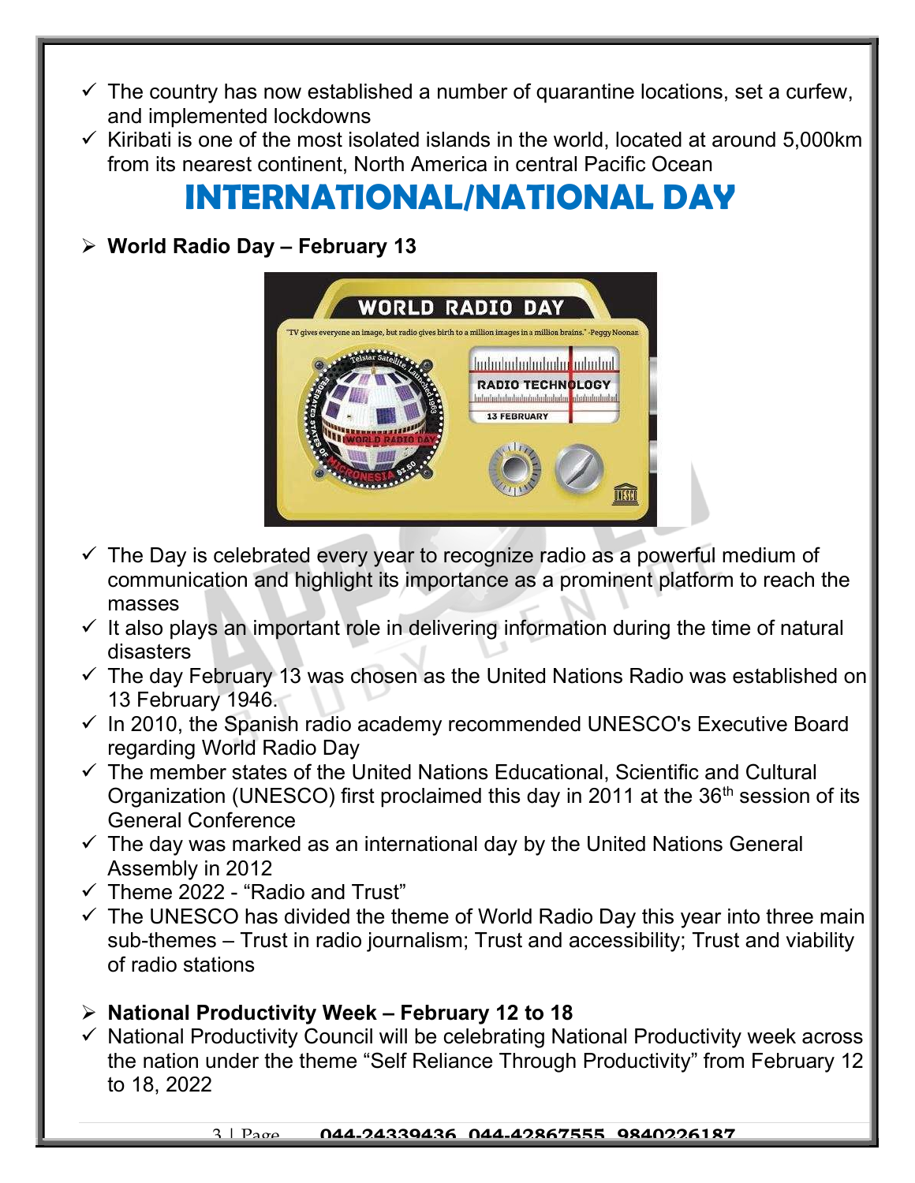- $\checkmark$  The country has now established a number of quarantine locations, set a curfew, and implemented lockdowns
- $\checkmark$  Kiribati is one of the most isolated islands in the world, located at around 5,000km from its nearest continent, North America in central Pacific Ocean

## INTERNATIONAL/NATIONAL DAY

## $\triangleright$  World Radio Day - February 13



- $\checkmark$  The Day is celebrated every year to recognize radio as a powerful medium of communication and highlight its importance as a prominent platform to reach the masses
- $\checkmark$  It also plays an important role in delivering information during the time of natural disasters
- $\checkmark$  The day February 13 was chosen as the United Nations Radio was established on 13 February 1946.
- $\checkmark$  In 2010, the Spanish radio academy recommended UNESCO's Executive Board regarding World Radio Day
- $\checkmark$  The member states of the United Nations Educational, Scientific and Cultural Organization (UNESCO) first proclaimed this day in 2011 at the 36<sup>th</sup> session of its General Conference
- $\checkmark$  The day was marked as an international day by the United Nations General Assembly in 2012
- $\checkmark$  Theme 2022 "Radio and Trust"
- $\checkmark$  The UNESCO has divided the theme of World Radio Day this year into three main sub-themes – Trust in radio journalism; Trust and accessibility; Trust and viability of radio stations

## $\triangleright$  National Productivity Week – February 12 to 18

 $\checkmark$  National Productivity Council will be celebrating National Productivity week across the nation under the theme "Self Reliance Through Productivity" from February 12 to 18, 2022